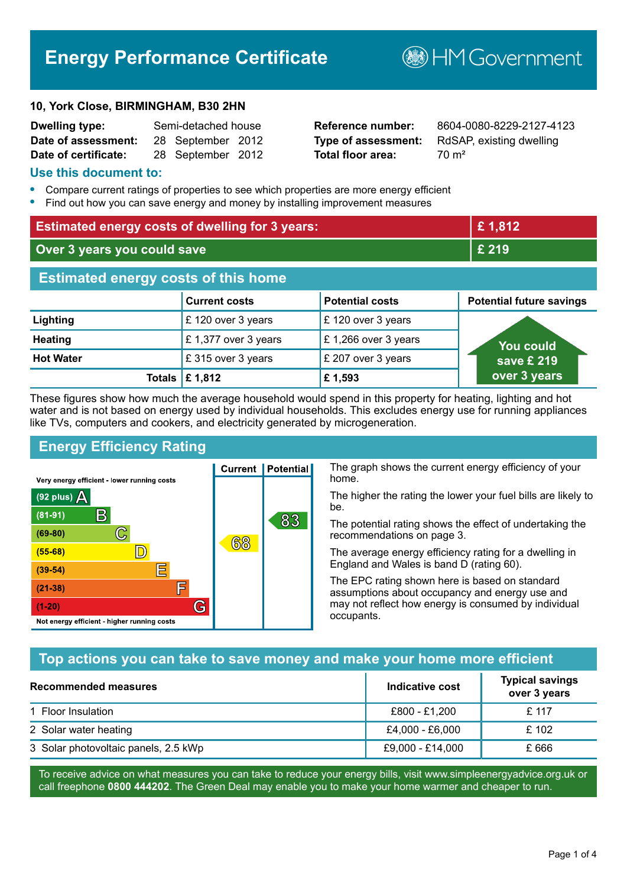# **Energy Performance Certificate**

#### **10, York Close, BIRMINGHAM, B30 2HN**

| <b>Dwelling type:</b> | Semi-detached house |                   |  |
|-----------------------|---------------------|-------------------|--|
| Date of assessment:   |                     | 28 September 2012 |  |
| Date of certificate:  |                     | 28 September 2012 |  |

# **Total floor area:** 70 m<sup>2</sup>

**Reference number:** 8604-0080-8229-2127-4123 **Type of assessment:** RdSAP, existing dwelling

**B**HM Government

#### **Use this document to:**

- **•** Compare current ratings of properties to see which properties are more energy efficient
- **•** Find out how you can save energy and money by installing improvement measures

| <b>Estimated energy costs of dwelling for 3 years:</b> |                           | £1,812                 |                                 |
|--------------------------------------------------------|---------------------------|------------------------|---------------------------------|
| Over 3 years you could save                            |                           | $E$ 219                |                                 |
| <b>Estimated energy costs of this home</b>             |                           |                        |                                 |
|                                                        | <b>Current costs</b>      | <b>Potential costs</b> | <b>Potential future savings</b> |
| Lighting                                               | £120 over 3 years         | £120 over 3 years      |                                 |
| <b>Heating</b>                                         | £1,377 over 3 years       | £1,266 over 3 years    | <b>You could</b>                |
| <b>Hot Water</b>                                       | £315 over 3 years         | £ 207 over 3 years     | save £ 219                      |
|                                                        | Totals $\mathsf{E}$ 1,812 | £1,593                 | over 3 years                    |

These figures show how much the average household would spend in this property for heating, lighting and hot water and is not based on energy used by individual households. This excludes energy use for running appliances like TVs, computers and cookers, and electricity generated by microgeneration.

**Current | Potential** 

68

# **Energy Efficiency Rating**

 $\mathbb{C}$ 

D)

IΞ

E

G

Very energy efficient - lower running costs

R

Not energy efficient - higher running costs

 $(92$  plus)

 $(81 - 91)$ 

 $(69 - 80)$ 

 $(55-68)$  $(39 - 54)$ 

 $(21-38)$ 

 $(1-20)$ 

A

The graph shows the current energy efficiency of your home.

The higher the rating the lower your fuel bills are likely to be.

The potential rating shows the effect of undertaking the recommendations on page 3.

The average energy efficiency rating for a dwelling in England and Wales is band D (rating 60).

The EPC rating shown here is based on standard assumptions about occupancy and energy use and may not reflect how energy is consumed by individual occupants.

# **Top actions you can take to save money and make your home more efficient**

83

| Recommended measures                 | Indicative cost  | <b>Typical savings</b><br>over 3 years |
|--------------------------------------|------------------|----------------------------------------|
| 1 Floor Insulation                   | £800 - £1,200    | £ 117                                  |
| 2 Solar water heating                | £4,000 - £6,000  | £102                                   |
| 3 Solar photovoltaic panels, 2.5 kWp | £9,000 - £14,000 | £ 666                                  |

To receive advice on what measures you can take to reduce your energy bills, visit www.simpleenergyadvice.org.uk or call freephone **0800 444202**. The Green Deal may enable you to make your home warmer and cheaper to run.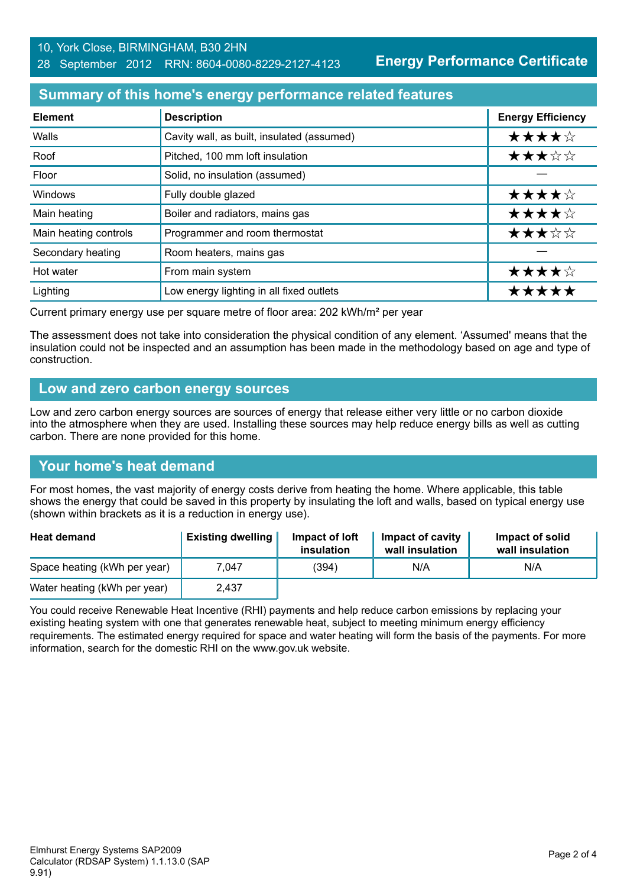**Energy Performance Certificate**

#### **Summary of this home's energy performance related features**

| <b>Element</b>        | <b>Description</b>                         | <b>Energy Efficiency</b> |
|-----------------------|--------------------------------------------|--------------------------|
| Walls                 | Cavity wall, as built, insulated (assumed) | ★★★★☆                    |
| Roof                  | Pitched, 100 mm loft insulation            | ★★★☆☆                    |
| Floor                 | Solid, no insulation (assumed)             |                          |
| Windows               | Fully double glazed                        | ★★★★☆                    |
| Main heating          | Boiler and radiators, mains gas            | ★★★★☆                    |
| Main heating controls | Programmer and room thermostat             | ★★★☆☆                    |
| Secondary heating     | Room heaters, mains gas                    |                          |
| Hot water             | From main system                           | ★★★★☆                    |
| Lighting              | Low energy lighting in all fixed outlets   | *****                    |

Current primary energy use per square metre of floor area: 202 kWh/m² per year

The assessment does not take into consideration the physical condition of any element. 'Assumed' means that the insulation could not be inspected and an assumption has been made in the methodology based on age and type of construction.

#### **Low and zero carbon energy sources**

Low and zero carbon energy sources are sources of energy that release either very little or no carbon dioxide into the atmosphere when they are used. Installing these sources may help reduce energy bills as well as cutting carbon. There are none provided for this home.

### **Your home's heat demand**

For most homes, the vast majority of energy costs derive from heating the home. Where applicable, this table shows the energy that could be saved in this property by insulating the loft and walls, based on typical energy use (shown within brackets as it is a reduction in energy use).

| <b>Heat demand</b>           | <b>Existing dwelling</b> | Impact of loft<br>insulation | Impact of cavity<br>wall insulation | Impact of solid<br>wall insulation |
|------------------------------|--------------------------|------------------------------|-------------------------------------|------------------------------------|
| Space heating (kWh per year) | 7.047                    | (394)                        | N/A                                 | N/A                                |
| Water heating (kWh per year) | 2,437                    |                              |                                     |                                    |

You could receive Renewable Heat Incentive (RHI) payments and help reduce carbon emissions by replacing your existing heating system with one that generates renewable heat, subject to meeting minimum energy efficiency requirements. The estimated energy required for space and water heating will form the basis of the payments. For more information, search for the domestic RHI on the www.gov.uk website.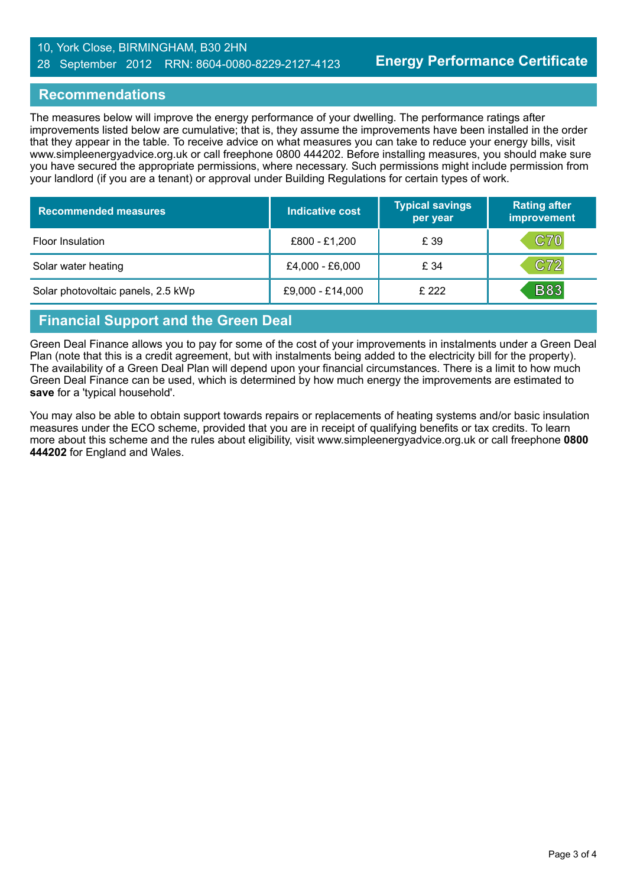#### 10, York Close, BIRMINGHAM, B30 2HN 28 September 2012 RRN: 8604-0080-8229-2127-4123

#### **Recommendations**

The measures below will improve the energy performance of your dwelling. The performance ratings after improvements listed below are cumulative; that is, they assume the improvements have been installed in the order that they appear in the table. To receive advice on what measures you can take to reduce your energy bills, visit www.simpleenergyadvice.org.uk or call freephone 0800 444202. Before installing measures, you should make sure you have secured the appropriate permissions, where necessary. Such permissions might include permission from your landlord (if you are a tenant) or approval under Building Regulations for certain types of work.

| <b>Recommended measures</b>        | Indicative cost  | <b>Typical savings</b><br>per year | <b>Rating after</b><br>improvement |
|------------------------------------|------------------|------------------------------------|------------------------------------|
| Floor Insulation                   | £800 - £1,200    | £ 39                               | C70                                |
| Solar water heating                | £4,000 - £6,000  | £ 34                               | C72                                |
| Solar photovoltaic panels, 2.5 kWp | £9,000 - £14,000 | £ 222                              | <b>B83</b>                         |

# **Financial Support and the Green Deal**

Green Deal Finance allows you to pay for some of the cost of your improvements in instalments under a Green Deal Plan (note that this is a credit agreement, but with instalments being added to the electricity bill for the property). The availability of a Green Deal Plan will depend upon your financial circumstances. There is a limit to how much Green Deal Finance can be used, which is determined by how much energy the improvements are estimated to **save** for a 'typical household'.

You may also be able to obtain support towards repairs or replacements of heating systems and/or basic insulation measures under the ECO scheme, provided that you are in receipt of qualifying benefits or tax credits. To learn more about this scheme and the rules about eligibility, visit www.simpleenergyadvice.org.uk or call freephone **0800 444202** for England and Wales.